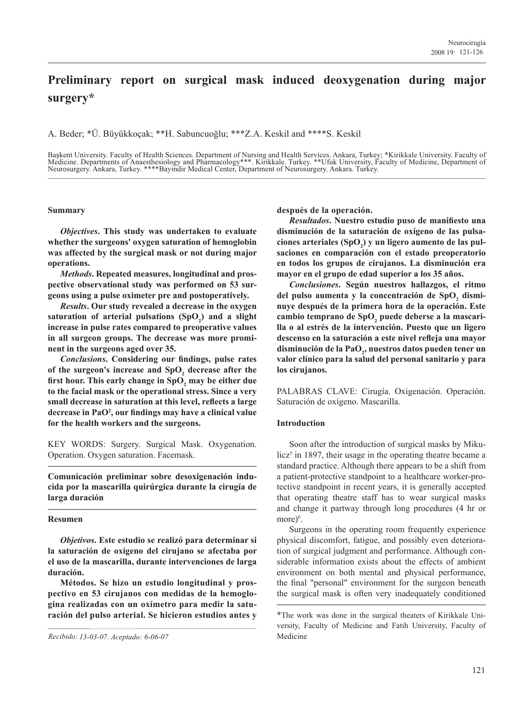# **Preliminary report on surgical mask induced deoxygenation during major surgery\***

A. Beder; \*Ü. Büyükkoçak; \*\*H. Sabuncuoğlu; \*\*\*Z.A. Keskil and \*\*\*\*S. Keskil

Başkent University. Faculty of Health Sciences. Department of Nursing and Health Services. Ankara, Turkey; \*Kirikkale University. Faculty of<br>Medicine. Departments of Anaesthesiology and Pharmacology\*\*\*. Kirikkale. Turkey. Neurosurgery. Ankara, Turkey. \*\*\*\*Bayindir Medical Center, Department of Neurosurgery. Ankara. Turkey.

# **Summary**

*Objectives***. This study was undertaken to evaluate whether the surgeons' oxygen saturation of hemoglobin was affected by the surgical mask or not during major operations.**

*Methods***. Repeated measures, longitudinal and prospective observational study was performed on 53 surgeons using a pulse oximeter pre and postoperatively.**

*Results***. Our study revealed a decrease in the oxygen**  saturation of arterial pulsations (SpO<sub>2</sub>) and a slight **increase in pulse rates compared to preoperative values in all surgeon groups. The decrease was more prominent in the surgeons aged over 35.**

*Conclusions***. Considering our findings, pulse rates**  of the surgeon's increase and SpO<sub>2</sub> decrease after the first hour. This early change in SpO<sub>2</sub> may be either due **to the facial mask or the operational stress. Since a very small decrease in saturation at this level, reflects a large decrease in PaO2 , our findings may have a clinical value for the health workers and the surgeons.**

KEY WORDS: Surgery. Surgical Mask. Oxygenation. Operation. Oxygen saturation. Facemask.

**Comunicación preliminar sobre desoxigenación inducida por la mascarilla quirúrgica durante la cirugía de larga duración**

# **Resumen**

*Objetivos***. Este estudio se realizó para determinar si la saturación de oxígeno del cirujano se afectaba por el uso de la mascarilla, durante intervenciones de larga duración.**

 **Métodos. Se hizo un estudio longitudinal y prospectivo en 53 cirujanos con medidas de la hemoglogina realizadas con un oxímetro para medir la saturación del pulso arterial. Se hicieron estudios antes y**  **después de la operación.**

*Resultados***. Nuestro estudio puso de manifiesto una disminución de la saturación de oxígeno de las pulsa**ciones arteriales (SpO<sub>2</sub>) y un ligero aumento de las pul**saciones en comparación con el estado preoperatorio en todos los grupos de cirujanos. La disminución era mayor en el grupo de edad superior a los 35 años.**

*Conclusiones***. Según nuestros hallazgos, el ritmo**  del pulso aumenta y la concentración de SpO<sub>2</sub> dismi**nuye después de la primera hora de la operación. Este**  cambio temprano de SpO<sub>2</sub> puede deberse a la mascari**lla o al estrés de la intervención. Puesto que un ligero descenso en la saturación a este nivel refleja una mayor**  disminución de la PaO<sub>2</sub>, nuestros datos pueden tener un **valor clínico para la salud del personal sanitario y para los cirujanos.**

PALABRAS CLAVE: Cirugía. Oxigenación. Operación. Saturación de oxígeno. Mascarilla.

# **Introduction**

 Soon after the introduction of surgical masks by Miku $licz<sup>5</sup>$  in 1897, their usage in the operating theatre became a standard practice. Although there appears to be a shift from a patient-protective standpoint to a healthcare worker-protective standpoint in recent years, it is generally accepted that operating theatre staff has to wear surgical masks and change it partway through long procedures (4 hr or more)<sup>6</sup>.

 Surgeons in the operating room frequently experience physical discomfort, fatigue, and possibly even deterioration of surgical judgment and performance. Although considerable information exists about the effects of ambient environment on both mental and physical performance, the final "personal" environment for the surgeon beneath the surgical mask is often very inadequately conditioned

*Recibido: 13-03-07. Aceptado: 6-06-07* Medicine

<sup>\*</sup>The work was done in the surgical theaters of Kirikkale University, Faculty of Medicine and Fatih University, Faculty of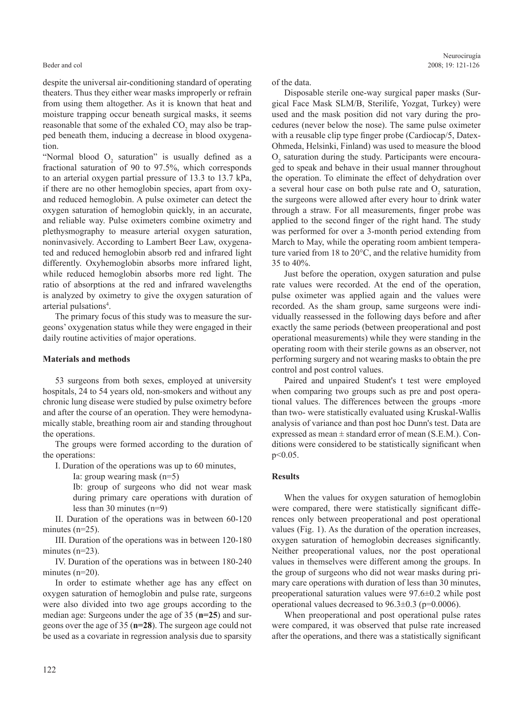despite the universal air-conditioning standard of operating theaters. Thus they either wear masks improperly or refrain from using them altogether. As it is known that heat and moisture trapping occur beneath surgical masks, it seems reasonable that some of the exhaled  $CO_2$  may also be trapped beneath them, inducing a decrease in blood oxygenation.

"Normal blood  $O_2$  saturation" is usually defined as a fractional saturation of 90 to 97.5%, which corresponds to an arterial oxygen partial pressure of 13.3 to 13.7 kPa, if there are no other hemoglobin species, apart from oxyand reduced hemoglobin. A pulse oximeter can detect the oxygen saturation of hemoglobin quickly, in an accurate, and reliable way. Pulse oximeters combine oximetry and plethysmography to measure arterial oxygen saturation, noninvasively. According to Lambert Beer Law, oxygenated and reduced hemoglobin absorb red and infrared light differently. Oxyhemoglobin absorbs more infrared light, while reduced hemoglobin absorbs more red light. The ratio of absorptions at the red and infrared wavelengths is analyzed by oximetry to give the oxygen saturation of arterial pulsations<sup>4</sup>.

 The primary focus of this study was to measure the surgeons' oxygenation status while they were engaged in their daily routine activities of major operations.

#### **Materials and methods**

 53 surgeons from both sexes, employed at university hospitals, 24 to 54 years old, non-smokers and without any chronic lung disease were studied by pulse oximetry before and after the course of an operation. They were hemodynamically stable, breathing room air and standing throughout the operations.

 The groups were formed according to the duration of the operations:

I. Duration of the operations was up to 60 minutes,

Ia: group wearing mask (n=5)

Ib: group of surgeons who did not wear mask during primary care operations with duration of less than 30 minutes (n=9)

 II. Duration of the operations was in between 60-120 minutes (n=25).

 III. Duration of the operations was in between 120-180 minutes (n=23).

 IV. Duration of the operations was in between 180-240 minutes (n=20).

 In order to estimate whether age has any effect on oxygen saturation of hemoglobin and pulse rate, surgeons were also divided into two age groups according to the median age: Surgeons under the age of 35 (**n=25**) and surgeons over the age of 35 (**n=28**). The surgeon age could not be used as a covariate in regression analysis due to sparsity of the data.

 Disposable sterile one-way surgical paper masks (Surgical Face Mask SLM/B, Sterilife, Yozgat, Turkey) were used and the mask position did not vary during the procedures (never below the nose). The same pulse oximeter with a reusable clip type finger probe (Cardiocap/5, Datex-Ohmeda, Helsinki, Finland) was used to measure the blood  $O<sub>2</sub>$  saturation during the study. Participants were encouraged to speak and behave in their usual manner throughout the operation. To eliminate the effect of dehydration over a several hour case on both pulse rate and  $O_2$  saturation, the surgeons were allowed after every hour to drink water through a straw. For all measurements, finger probe was applied to the second finger of the right hand. The study was performed for over a 3-month period extending from March to May, while the operating room ambient temperature varied from 18 to 20°C, and the relative humidity from 35 to 40%.

 Just before the operation, oxygen saturation and pulse rate values were recorded. At the end of the operation, pulse oximeter was applied again and the values were recorded. As the sham group, same surgeons were individually reassessed in the following days before and after exactly the same periods (between preoperational and post operational measurements) while they were standing in the operating room with their sterile gowns as an observer, not performing surgery and not wearing masks to obtain the pre control and post control values.

 Paired and unpaired Student's t test were employed when comparing two groups such as pre and post operational values. The differences between the groups -more than two- were statistically evaluated using Kruskal-Wallis analysis of variance and than post hoc Dunn's test. Data are expressed as mean ± standard error of mean (S.E.M.). Conditions were considered to be statistically significant when p<0.05.

#### **Results**

 When the values for oxygen saturation of hemoglobin were compared, there were statistically significant differences only between preoperational and post operational values (Fig. 1). As the duration of the operation increases, oxygen saturation of hemoglobin decreases significantly. Neither preoperational values, nor the post operational values in themselves were different among the groups. In the group of surgeons who did not wear masks during primary care operations with duration of less than 30 minutes, preoperational saturation values were 97.6±0.2 while post operational values decreased to  $96.3\pm0.3$  (p=0.0006).

 When preoperational and post operational pulse rates were compared, it was observed that pulse rate increased after the operations, and there was a statistically significant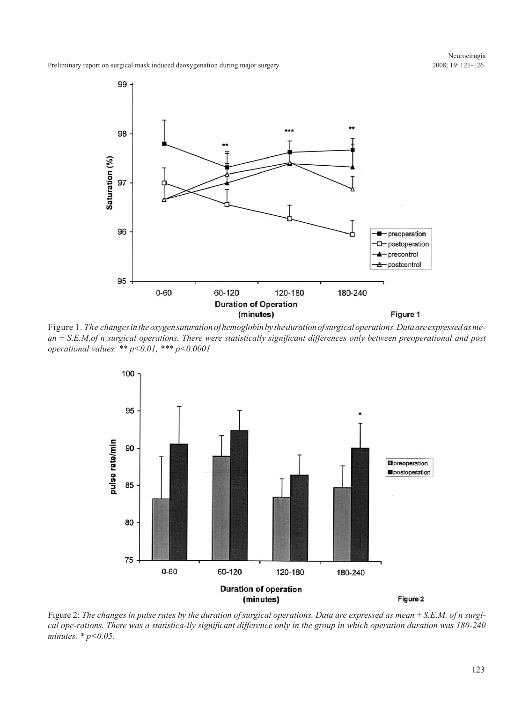Preliminary report on surgical mask induced deoxygenation during major surgery



Figure 1. *The changes in the oxygen saturation of hemoglobin by the duration of surgical operations. Data are expressed as mean ± S.E.M.of n surgical operations. There were statistically significant differences only between preoperational and post operational values. \*\* p<0.01, \*\*\* p<0.0001*



Figure 2: *The changes in pulse rates by the duration of surgical operations. Data are expressed as mean ± S.E.M. of n surgical ope-rations. There was a statistica-lly significant difference only in the group in which operation duration was 180-240 minutes. \* p<0.05.*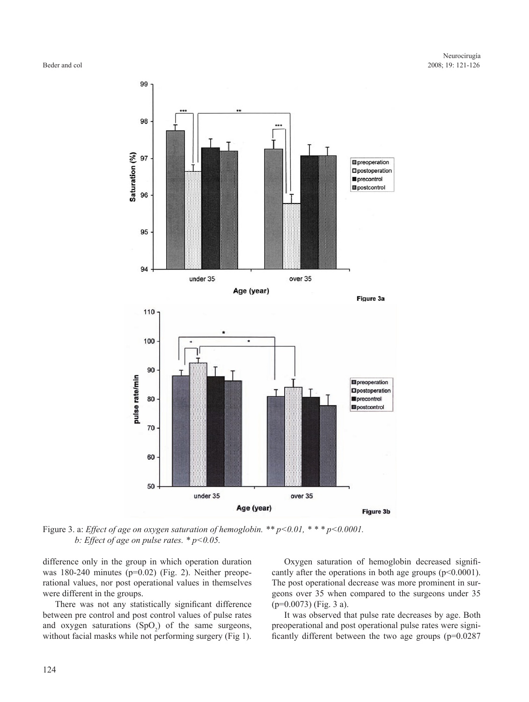

Figure 3. a: *Effect of age on oxygen saturation of hemoglobin. \*\* p<0.01, \* \* \* p<0.0001. b: Effect of age on pulse rates. \* p<0.05.*

difference only in the group in which operation duration was 180-240 minutes (p=0.02) (Fig. 2). Neither preoperational values, nor post operational values in themselves were different in the groups.

 There was not any statistically significant difference between pre control and post control values of pulse rates and oxygen saturations  $(SpO<sub>2</sub>)$  of the same surgeons, without facial masks while not performing surgery (Fig 1).

 Oxygen saturation of hemoglobin decreased significantly after the operations in both age groups  $(p<0.0001)$ . The post operational decrease was more prominent in surgeons over 35 when compared to the surgeons under 35 (p=0.0073) (Fig. 3 a).

 It was observed that pulse rate decreases by age. Both preoperational and post operational pulse rates were significantly different between the two age groups (p=0.0287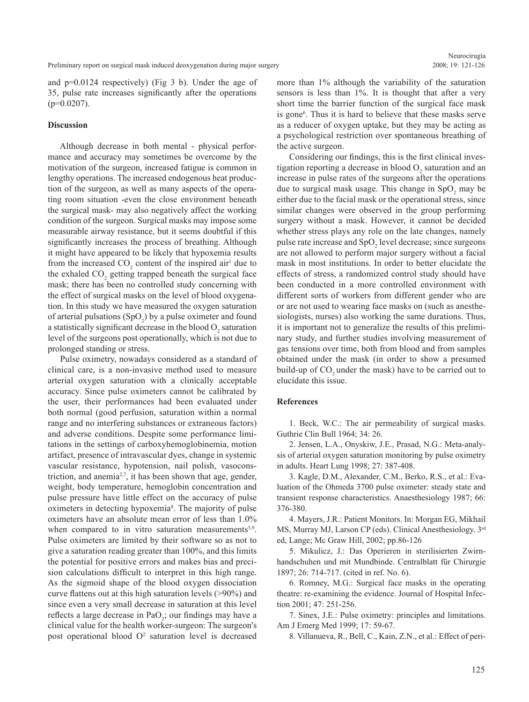and p=0.0124 respectively) (Fig 3 b). Under the age of 35, pulse rate increases significantly after the operations  $(p=0.0207)$ .

# **Discussion**

 Although decrease in both mental - physical performance and accuracy may sometimes be overcome by the motivation of the surgeon, increased fatigue is common in lengthy operations. The increased endogenous heat production of the surgeon, as well as many aspects of the operating room situation -even the close environment beneath the surgical mask- may also negatively affect the working condition of the surgeon. Surgical masks may impose some measurable airway resistance, but it seems doubtful if this significantly increases the process of breathing. Although it might have appeared to be likely that hypoxemia results from the increased  $CO_2$  content of the inspired air<sup>1</sup> due to the exhaled  $CO<sub>2</sub>$  getting trapped beneath the surgical face mask; there has been no controlled study concerning with the effect of surgical masks on the level of blood oxygenation. In this study we have measured the oxygen saturation of arterial pulsations  $(SpO<sub>2</sub>)$  by a pulse oximeter and found a statistically significant decrease in the blood  $O_2$  saturation level of the surgeons post operationally, which is not due to prolonged standing or stress.

 Pulse oximetry, nowadays considered as a standard of clinical care, is a non-invasive method used to measure arterial oxygen saturation with a clinically acceptable accuracy. Since pulse oximeters cannot be calibrated by the user, their performances had been evaluated under both normal (good perfusion, saturation within a normal range and no interfering substances or extraneous factors) and adverse conditions. Despite some performance limitations in the settings of carboxyhemoglobinemia, motion artifact, presence of intravascular dyes, change in systemic vascular resistance, hypotension, nail polish, vasoconstriction, and anemia<sup>2,7</sup>, it has been shown that age, gender, weight, body temperature, hemoglobin concentration and pulse pressure have little effect on the accuracy of pulse oximeters in detecting hypoxemia<sup>8</sup>. The majority of pulse oximeters have an absolute mean error of less than 1.0% when compared to in vitro saturation measurements<sup>3,9</sup>. Pulse oximeters are limited by their software so as not to give a saturation reading greater than 100%, and this limits the potential for positive errors and makes bias and precision calculations difficult to interpret in this high range. As the sigmoid shape of the blood oxygen dissociation curve flattens out at this high saturation levels (>90%) and since even a very small decrease in saturation at this level reflects a large decrease in  $PaO<sub>2</sub>$ ; our findings may have a clinical value for the health worker-surgeon: The surgeon's post operational blood  $O<sup>2</sup>$  saturation level is decreased more than 1% although the variability of the saturation sensors is less than 1%. It is thought that after a very short time the barrier function of the surgical face mask is gone<sup>6</sup>. Thus it is hard to believe that these masks serve as a reducer of oxygen uptake, but they may be acting as a psychological restriction over spontaneous breathing of the active surgeon.

 Considering our findings, this is the first clinical investigation reporting a decrease in blood  $O_2$  saturation and an increase in pulse rates of the surgeons after the operations due to surgical mask usage. This change in  $SpO<sub>2</sub>$  may be either due to the facial mask or the operational stress, since similar changes were observed in the group performing surgery without a mask. However, it cannot be decided whether stress plays any role on the late changes, namely pulse rate increase and  $SpO<sub>2</sub>$  level decrease; since surgeons are not allowed to perform major surgery without a facial mask in most institutions. In order to better elucidate the effects of stress, a randomized control study should have been conducted in a more controlled environment with different sorts of workers from different gender who are or are not used to wearing face masks on (such as anesthesiologists, nurses) also working the same durations. Thus, it is important not to generalize the results of this preliminary study, and further studies involving measurement of gas tensions over time, both from blood and from samples obtained under the mask (in order to show a presumed build-up of CO<sub>2</sub> under the mask) have to be carried out to elucidate this issue.

#### **References**

 1. Beck, W.C.: The air permeability of surgical masks. Guthrie Clin Bull 1964; 34: 26.

 2. Jensen, L.A., Onyskiw, J.E., Prasad, N.G.: Meta-analysis of arterial oxygen saturation monitoring by pulse oximetry in adults. Heart Lung 1998; 27: 387-408.

 3. Kagle, D.M., Alexander, C.M., Berko, R.S., et al.: Evaluation of the Ohmeda 3700 pulse oximeter: steady state and transient response characteristics. Anaesthesiology 1987; 66: 376-380.

 4. Mayers, J.R.: Patient Monitors. In: Morgan EG, Mikhail MS, Murray MJ, Larson CP (eds). Clinical Anesthesiology. 3rd ed, Lange; Mc Graw Hill, 2002; pp.86-126

 5. Mikulicz, J.: Das Operieren in sterilisierten Zwirnhandschuhen und mit Mundbinde. Centralblatt für Chirurgie 1897; 26: 714-717. (cited in ref. No. 6).

 6. Romney, M.G.: Surgical face masks in the operating theatre: re-examining the evidence. Journal of Hospital Infection 2001; 47: 251-256.

 7. Sinex, J.E.: Pulse oximetry: principles and limitations. Am J Emerg Med 1999; 17: 59-67.

8. Villanueva, R., Bell, C., Kain, Z.N., et al.: Effect of peri-